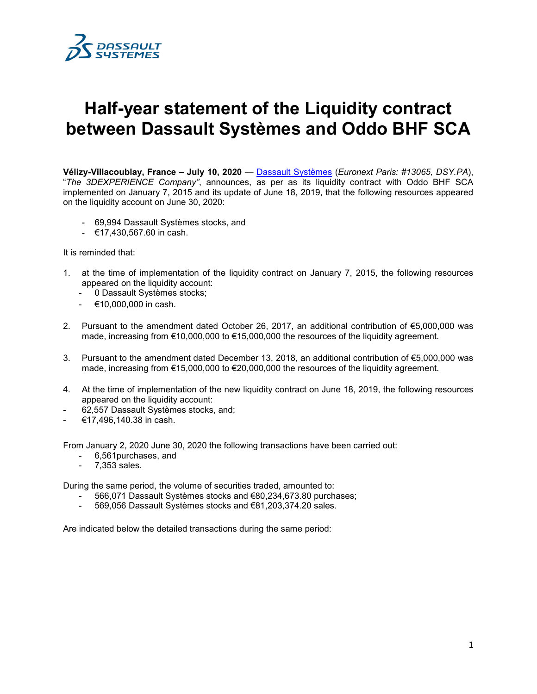

## **Half-year statement of the Liquidity contract between Dassault Systèmes and Oddo BHF SCA**

**Vélizy-Villacoublay, France – July 10, 2020** — [Dassault Systèmes](http://www.3ds.com/) (*Euronext Paris: #13065, DSY.PA*), "*The 3DEXPERIENCE Company"*, announces, as per as its liquidity contract with Oddo BHF SCA implemented on January 7, 2015 and its update of June 18, 2019, that the following resources appeared on the liquidity account on June 30, 2020:

- 69,994 Dassault Systèmes stocks, and
- €17,430,567.60 in cash.

It is reminded that:

- 1. at the time of implementation of the liquidity contract on January 7, 2015, the following resources appeared on the liquidity account:
	- 0 Dassault Systèmes stocks;
	- $€10,000,000$  in cash.
- 2. Pursuant to the amendment dated October 26, 2017, an additional contribution of €5,000,000 was made, increasing from €10,000,000 to €15,000,000 the resources of the liquidity agreement.
- 3. Pursuant to the amendment dated December 13, 2018, an additional contribution of €5,000,000 was made, increasing from €15,000,000 to €20,000,000 the resources of the liquidity agreement.
- 4. At the time of implementation of the new liquidity contract on June 18, 2019, the following resources appeared on the liquidity account:
- 62,557 Dassault Systèmes stocks, and;
- €17,496,140.38 in cash.

From January 2, 2020 June 30, 2020 the following transactions have been carried out:

- 6,561purchases, and
- 7,353 sales.

During the same period, the volume of securities traded, amounted to:

- 566,071 Dassault Systèmes stocks and €80,234,673.80 purchases;
- 569,056 Dassault Systèmes stocks and €81,203,374.20 sales.

Are indicated below the detailed transactions during the same period: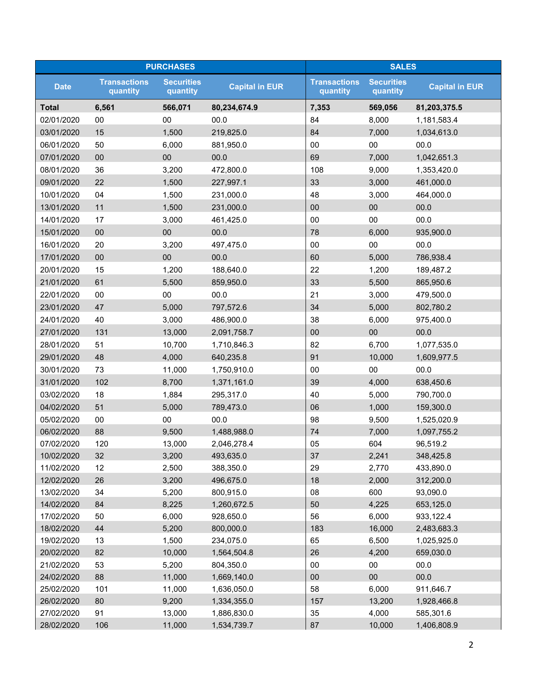| <b>PURCHASES</b> |                                 |                               | <b>SALES</b>          |                                 |                               |                       |
|------------------|---------------------------------|-------------------------------|-----------------------|---------------------------------|-------------------------------|-----------------------|
| <b>Date</b>      | <b>Transactions</b><br>quantity | <b>Securities</b><br>quantity | <b>Capital in EUR</b> | <b>Transactions</b><br>quantity | <b>Securities</b><br>quantity | <b>Capital in EUR</b> |
| <b>Total</b>     | 6,561                           | 566,071                       | 80,234,674.9          | 7,353                           | 569,056                       | 81,203,375.5          |
| 02/01/2020       | 00                              | 00                            | 00.0                  | 84                              | 8,000                         | 1,181,583.4           |
| 03/01/2020       | 15                              | 1,500                         | 219,825.0             | 84                              | 7,000                         | 1,034,613.0           |
| 06/01/2020       | 50                              | 6,000                         | 881,950.0             | $00\,$                          | 00                            | 00.0                  |
| 07/01/2020       | $00\,$                          | 00                            | 00.0                  | 69                              | 7,000                         | 1,042,651.3           |
| 08/01/2020       | 36                              | 3,200                         | 472,800.0             | 108                             | 9,000                         | 1,353,420.0           |
| 09/01/2020       | 22                              | 1,500                         | 227,997.1             | 33                              | 3,000                         | 461,000.0             |
| 10/01/2020       | 04                              | 1,500                         | 231,000.0             | 48                              | 3,000                         | 464,000.0             |
| 13/01/2020       | 11                              | 1,500                         | 231,000.0             | 00                              | 00                            | 00.0                  |
| 14/01/2020       | 17                              | 3,000                         | 461,425.0             | 00                              | 00                            | 00.0                  |
| 15/01/2020       | $00\,$                          | $00\,$                        | 00.0                  | 78                              | 6,000                         | 935,900.0             |
| 16/01/2020       | 20                              | 3,200                         | 497,475.0             | $00\,$                          | 00                            | 00.0                  |
| 17/01/2020       | $00\,$                          | 00                            | 00.0                  | 60                              | 5,000                         | 786,938.4             |
| 20/01/2020       | 15                              | 1,200                         | 188,640.0             | 22                              | 1,200                         | 189,487.2             |
| 21/01/2020       | 61                              | 5,500                         | 859,950.0             | 33                              | 5,500                         | 865,950.6             |
| 22/01/2020       | $00\,$                          | 00                            | 00.0                  | 21                              | 3,000                         | 479,500.0             |
| 23/01/2020       | 47                              | 5,000                         | 797,572.6             | 34                              | 5,000                         | 802,780.2             |
| 24/01/2020       | 40                              | 3,000                         | 486,900.0             | 38                              | 6,000                         | 975,400.0             |
| 27/01/2020       | 131                             | 13,000                        | 2,091,758.7           | 00                              | 00                            | 00.0                  |
| 28/01/2020       | 51                              | 10,700                        | 1,710,846.3           | 82                              | 6,700                         | 1,077,535.0           |
| 29/01/2020       | 48                              | 4,000                         | 640,235.8             | 91                              | 10,000                        | 1,609,977.5           |
| 30/01/2020       | 73                              | 11,000                        | 1,750,910.0           | 00                              | 00                            | 00.0                  |
| 31/01/2020       | 102                             | 8,700                         | 1,371,161.0           | 39                              | 4,000                         | 638,450.6             |
| 03/02/2020       | 18                              | 1,884                         | 295,317.0             | 40                              | 5,000                         | 790,700.0             |
| 04/02/2020       | 51                              | 5,000                         | 789,473.0             | 06                              | 1,000                         | 159,300.0             |
| 05/02/2020       | $00\,$                          | 00                            | 00.0                  | 98                              | 9,500                         | 1,525,020.9           |
| 06/02/2020       | 88                              | 9,500                         | 1,488,988.0           | 74                              | 7,000                         | 1,097,755.2           |
| 07/02/2020       | 120                             | 13,000                        | 2,046,278.4           | 05                              | 604                           | 96,519.2              |
| 10/02/2020       | 32                              | 3,200                         | 493,635.0             | 37                              | 2,241                         | 348,425.8             |
| 11/02/2020       | 12                              | 2,500                         | 388,350.0             | 29                              | 2,770                         | 433,890.0             |
| 12/02/2020       | 26                              | 3,200                         | 496,675.0             | 18                              | 2,000                         | 312,200.0             |
| 13/02/2020       | 34                              | 5,200                         | 800,915.0             | 08                              | 600                           | 93,090.0              |
| 14/02/2020       | 84                              | 8,225                         | 1,260,672.5           | 50                              | 4,225                         | 653,125.0             |
| 17/02/2020       | 50                              | 6,000                         | 928,650.0             | 56                              | 6,000                         | 933,122.4             |
| 18/02/2020       | 44                              | 5,200                         | 800,000.0             | 183                             | 16,000                        | 2,483,683.3           |
| 19/02/2020       | 13                              | 1,500                         | 234,075.0             | 65                              | 6,500                         | 1,025,925.0           |
| 20/02/2020       | 82                              | 10,000                        | 1,564,504.8           | 26                              | 4,200                         | 659,030.0             |
| 21/02/2020       | 53                              | 5,200                         | 804,350.0             | $00\,$                          | 00                            | 00.0                  |
| 24/02/2020       | 88                              | 11,000                        | 1,669,140.0           | $00\,$                          | 00                            | 00.0                  |
| 25/02/2020       | 101                             | 11,000                        | 1,636,050.0           | 58                              | 6,000                         | 911,646.7             |
| 26/02/2020       | 80                              | 9,200                         | 1,334,355.0           | 157                             | 13,200                        | 1,928,466.8           |
| 27/02/2020       | 91                              | 13,000                        | 1,886,830.0           | 35                              | 4,000                         | 585,301.6             |
| 28/02/2020       | 106                             | 11,000                        | 1,534,739.7           | 87                              | 10,000                        | 1,406,808.9           |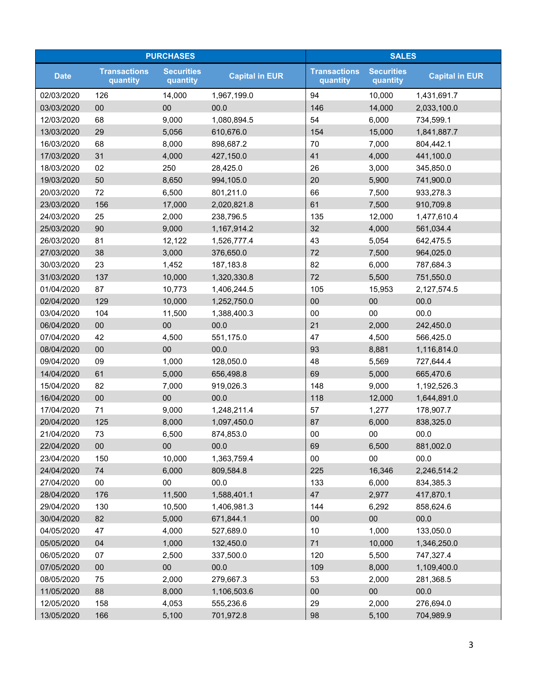| <b>PURCHASES</b> |                                 |                               | <b>SALES</b>          |                                 |                               |                       |
|------------------|---------------------------------|-------------------------------|-----------------------|---------------------------------|-------------------------------|-----------------------|
| <b>Date</b>      | <b>Transactions</b><br>quantity | <b>Securities</b><br>quantity | <b>Capital in EUR</b> | <b>Transactions</b><br>quantity | <b>Securities</b><br>quantity | <b>Capital in EUR</b> |
| 02/03/2020       | 126                             | 14,000                        | 1,967,199.0           | 94                              | 10,000                        | 1,431,691.7           |
| 03/03/2020       | 00                              | 00                            | 00.0                  | 146                             | 14,000                        | 2,033,100.0           |
| 12/03/2020       | 68                              | 9,000                         | 1,080,894.5           | 54                              | 6,000                         | 734,599.1             |
| 13/03/2020       | 29                              | 5,056                         | 610,676.0             | 154                             | 15,000                        | 1,841,887.7           |
| 16/03/2020       | 68                              | 8,000                         | 898,687.2             | 70                              | 7,000                         | 804,442.1             |
| 17/03/2020       | 31                              | 4,000                         | 427,150.0             | 41                              | 4,000                         | 441,100.0             |
| 18/03/2020       | 02                              | 250                           | 28,425.0              | 26                              | 3,000                         | 345,850.0             |
| 19/03/2020       | 50                              | 8,650                         | 994,105.0             | 20                              | 5,900                         | 741,900.0             |
| 20/03/2020       | 72                              | 6,500                         | 801,211.0             | 66                              | 7,500                         | 933,278.3             |
| 23/03/2020       | 156                             | 17,000                        | 2,020,821.8           | 61                              | 7,500                         | 910,709.8             |
| 24/03/2020       | 25                              | 2,000                         | 238,796.5             | 135                             | 12,000                        | 1,477,610.4           |
| 25/03/2020       | 90                              | 9,000                         | 1,167,914.2           | 32                              | 4,000                         | 561,034.4             |
| 26/03/2020       | 81                              | 12,122                        | 1,526,777.4           | 43                              | 5,054                         | 642,475.5             |
| 27/03/2020       | 38                              | 3,000                         | 376,650.0             | 72                              | 7,500                         | 964,025.0             |
| 30/03/2020       | 23                              | 1,452                         | 187,183.8             | 82                              | 6,000                         | 787,684.3             |
| 31/03/2020       | 137                             | 10,000                        | 1,320,330.8           | 72                              | 5,500                         | 751,550.0             |
| 01/04/2020       | 87                              | 10,773                        | 1,406,244.5           | 105                             | 15,953                        | 2,127,574.5           |
| 02/04/2020       | 129                             | 10,000                        | 1,252,750.0           | 00                              | 00                            | 00.0                  |
| 03/04/2020       | 104                             | 11,500                        | 1,388,400.3           | 00                              | 00                            | 00.0                  |
| 06/04/2020       | $00\,$                          | 00                            | 00.0                  | 21                              | 2,000                         | 242,450.0             |
| 07/04/2020       | 42                              | 4,500                         | 551,175.0             | 47                              | 4,500                         | 566,425.0             |
| 08/04/2020       | $00\,$                          | 00                            | 00.0                  | 93                              | 8,881                         | 1,116,814.0           |
| 09/04/2020       | 09                              | 1,000                         | 128,050.0             | 48                              | 5,569                         | 727,644.4             |
| 14/04/2020       | 61                              | 5,000                         | 656,498.8             | 69                              | 5,000                         | 665,470.6             |
| 15/04/2020       | 82                              | 7,000                         | 919,026.3             | 148                             | 9,000                         | 1,192,526.3           |
| 16/04/2020       | 00                              | 00                            | 00.0                  | 118                             | 12,000                        | 1,644,891.0           |
| 17/04/2020       | 71                              | 9,000                         | 1,248,211.4           | 57                              | 1,277                         | 178,907.7             |
| 20/04/2020       | 125                             | 8,000                         | 1,097,450.0           | 87                              | 6,000                         | 838,325.0             |
| 21/04/2020       | 73                              | 6,500                         | 874,853.0             | 00                              | $00\,$                        | 00.0                  |
| 22/04/2020       | $00\,$                          | 00                            | 00.0                  | 69                              | 6,500                         | 881,002.0             |
| 23/04/2020       | 150                             | 10,000                        | 1,363,759.4           | 00                              | $00\,$                        | 00.0                  |
| 24/04/2020       | 74                              | 6,000                         | 809,584.8             | 225                             | 16,346                        | 2,246,514.2           |
| 27/04/2020       | $00\,$                          | 00                            | 00.0                  | 133                             | 6,000                         | 834,385.3             |
| 28/04/2020       | 176                             | 11,500                        | 1,588,401.1           | 47                              | 2,977                         | 417,870.1             |
| 29/04/2020       | 130                             | 10,500                        | 1,406,981.3           | 144                             | 6,292                         | 858,624.6             |
| 30/04/2020       | 82                              | 5,000                         | 671,844.1             | 00                              | $00\,$                        | 00.0                  |
| 04/05/2020       | 47                              | 4,000                         | 527,689.0             | 10                              | 1,000                         | 133,050.0             |
| 05/05/2020       | 04                              | 1,000                         | 132,450.0             | 71                              | 10,000                        | 1,346,250.0           |
| 06/05/2020       | 07                              | 2,500                         | 337,500.0             | 120                             | 5,500                         | 747,327.4             |
| 07/05/2020       | $00\,$                          | 00                            | 00.0                  | 109                             | 8,000                         | 1,109,400.0           |
| 08/05/2020       | 75                              | 2,000                         | 279,667.3             | 53                              | 2,000                         | 281,368.5             |
| 11/05/2020       | 88                              | 8,000                         | 1,106,503.6           | 00                              | 00                            | 00.0                  |
| 12/05/2020       | 158                             | 4,053                         | 555,236.6             | 29                              | 2,000                         | 276,694.0             |
| 13/05/2020       | 166                             | 5,100                         | 701,972.8             | 98                              | 5,100                         | 704,989.9             |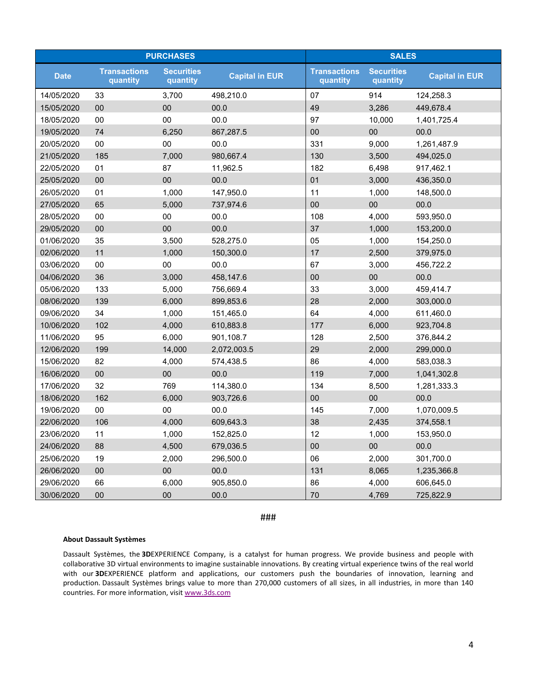| <b>PURCHASES</b> |                                 |                               |                       | <b>SALES</b>                    |                               |                       |
|------------------|---------------------------------|-------------------------------|-----------------------|---------------------------------|-------------------------------|-----------------------|
| <b>Date</b>      | <b>Transactions</b><br>quantity | <b>Securities</b><br>quantity | <b>Capital in EUR</b> | <b>Transactions</b><br>quantity | <b>Securities</b><br>quantity | <b>Capital in EUR</b> |
| 14/05/2020       | 33                              | 3,700                         | 498,210.0             | 07                              | 914                           | 124,258.3             |
| 15/05/2020       | 00                              | 00                            | 00.0                  | 49                              | 3,286                         | 449,678.4             |
| 18/05/2020       | 00                              | 00                            | 00.0                  | 97                              | 10,000                        | 1,401,725.4           |
| 19/05/2020       | 74                              | 6,250                         | 867,287.5             | $00\,$                          | 00                            | 00.0                  |
| 20/05/2020       | 00                              | 00                            | 00.0                  | 331                             | 9,000                         | 1,261,487.9           |
| 21/05/2020       | 185                             | 7,000                         | 980,667.4             | 130                             | 3,500                         | 494,025.0             |
| 22/05/2020       | 01                              | 87                            | 11,962.5              | 182                             | 6,498                         | 917,462.1             |
| 25/05/2020       | 00                              | 00                            | 00.0                  | 01                              | 3,000                         | 436,350.0             |
| 26/05/2020       | 01                              | 1,000                         | 147,950.0             | 11                              | 1,000                         | 148,500.0             |
| 27/05/2020       | 65                              | 5,000                         | 737,974.6             | 00                              | 00                            | 00.0                  |
| 28/05/2020       | 00                              | 00                            | 00.0                  | 108                             | 4,000                         | 593,950.0             |
| 29/05/2020       | 00                              | 00                            | 00.0                  | 37                              | 1,000                         | 153,200.0             |
| 01/06/2020       | 35                              | 3,500                         | 528,275.0             | 05                              | 1,000                         | 154,250.0             |
| 02/06/2020       | 11                              | 1,000                         | 150,300.0             | 17                              | 2,500                         | 379,975.0             |
| 03/06/2020       | 00                              | 00                            | 00.0                  | 67                              | 3,000                         | 456,722.2             |
| 04/06/2020       | 36                              | 3,000                         | 458,147.6             | 00                              | 00                            | 00.0                  |
| 05/06/2020       | 133                             | 5,000                         | 756,669.4             | 33                              | 3,000                         | 459,414.7             |
| 08/06/2020       | 139                             | 6,000                         | 899,853.6             | 28                              | 2,000                         | 303,000.0             |
| 09/06/2020       | 34                              | 1,000                         | 151,465.0             | 64                              | 4,000                         | 611,460.0             |
| 10/06/2020       | 102                             | 4,000                         | 610,883.8             | 177                             | 6,000                         | 923,704.8             |
| 11/06/2020       | 95                              | 6,000                         | 901,108.7             | 128                             | 2,500                         | 376,844.2             |
| 12/06/2020       | 199                             | 14,000                        | 2,072,003.5           | 29                              | 2,000                         | 299,000.0             |
| 15/06/2020       | 82                              | 4,000                         | 574,438.5             | 86                              | 4,000                         | 583,038.3             |
| 16/06/2020       | 00                              | $00\,$                        | 00.0                  | 119                             | 7,000                         | 1,041,302.8           |
| 17/06/2020       | 32                              | 769                           | 114,380.0             | 134                             | 8,500                         | 1,281,333.3           |
| 18/06/2020       | 162                             | 6,000                         | 903,726.6             | 00                              | 00                            | 00.0                  |
| 19/06/2020       | $00\,$                          | 00                            | 00.0                  | 145                             | 7,000                         | 1,070,009.5           |
| 22/06/2020       | 106                             | 4,000                         | 609,643.3             | 38                              | 2,435                         | 374,558.1             |
| 23/06/2020       | 11                              | 1,000                         | 152,825.0             | 12                              | 1,000                         | 153,950.0             |
| 24/06/2020       | 88                              | 4,500                         | 679,036.5             | 00                              | 00                            | 00.0                  |
| 25/06/2020       | 19                              | 2,000                         | 296,500.0             | 06                              | 2,000                         | 301,700.0             |
| 26/06/2020       | 00                              | 00                            | 00.0                  | 131                             | 8,065                         | 1,235,366.8           |
| 29/06/2020       | 66                              | 6,000                         | 905,850.0             | 86                              | 4,000                         | 606,645.0             |
| 30/06/2020       | 00                              | 00                            | 00.0                  | 70                              | 4,769                         | 725,822.9             |

###

## **About Dassault Systèmes**

Dassault Systèmes, the **3D**EXPERIENCE Company, is a catalyst for human progress. We provide business and people with collaborative 3D virtual environments to imagine sustainable innovations. By creating virtual experience twins of the real world with our **3D**EXPERIENCE platform and applications, our customers push the boundaries of innovation, learning and production. Dassault Systèmes brings value to more than 270,000 customers of all sizes, in all industries, in more than 140 countries. For more information, visit [www.3ds.com](http://www.3ds.com/)